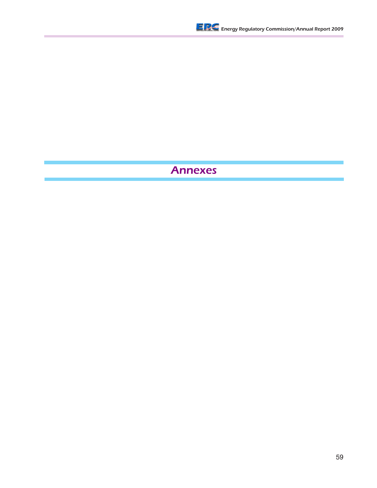

# Annexes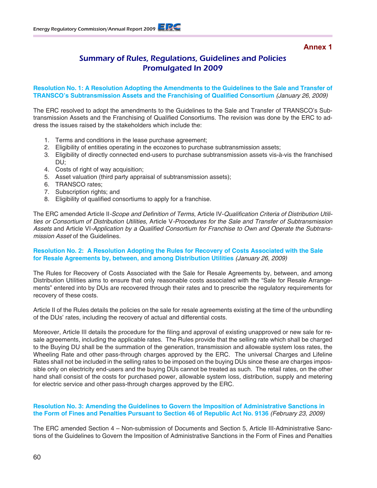**Annex 1**

# Summary of Rules, Regulations, Guidelines and Policies Promulgated In 2009

#### **Resolution No. 1: A Resolution Adopting the Amendments to the Guidelines to the Sale and Transfer of TRANSCO's Subtransmission Assets and the Franchising of Qualified Consortium** *(January 26, 2009)*

The ERC resolved to adopt the amendments to the Guidelines to the Sale and Transfer of TRANSCO's Subtransmission Assets and the Franchising of Qualified Consortiums. The revision was done by the ERC to address the issues raised by the stakeholders which include the:

- 1. Terms and conditions in the lease purchase agreement;
- 2. Eligibility of entities operating in the ecozones to purchase subtransmission assets;
- 3. Eligibility of directly connected end-users to purchase subtransmission assets vis-à-vis the franchised DU;
- 4. Costs of right of way acquisition;
- 5. Asset valuation (third party appraisal of subtransmission assets);
- 6. TRANSCO rates;
- 7. Subscription rights; and
- 8. Eligibility of qualified consortiums to apply for a franchise.

The ERC amended Article II-Scope and Definition of Terms, Article IV-Qualification Criteria of Distribution Utilities or Consortium of Distribution Utilities, Article V-Procedures for the Sale and Transfer of Subtransmission Assets and Article VI-Application by a Qualified Consortium for Franchise to Own and Operate the Subtransmission Asset of the Guidelines.

#### **Resolution No. 2: A Resolution Adopting the Rules for Recovery of Costs Associated with the Sale for Resale Agreements by, between, and among Distribution Utilities** *(January 26, 2009)*

The Rules for Recovery of Costs Associated with the Sale for Resale Agreements by, between, and among Distribution Utilities aims to ensure that only reasonable costs associated with the "Sale for Resale Arrangements" entered into by DUs are recovered through their rates and to prescribe the regulatory requirements for recovery of these costs.

Article II of the Rules details the policies on the sale for resale agreements existing at the time of the unbundling of the DUs' rates, including the recovery of actual and differential costs.

Moreover, Article III details the procedure for the filing and approval of existing unapproved or new sale for resale agreements, including the applicable rates. The Rules provide that the selling rate which shall be charged to the Buying DU shall be the summation of the generation, transmission and allowable system loss rates, the Wheeling Rate and other pass-through charges approved by the ERC. The universal Charges and Lifeline Rates shall not be included in the selling rates to be imposed on the buying DUs since these are charges impossible only on electricity end-users and the buying DUs cannot be treated as such. The retail rates, on the other hand shall consist of the costs for purchased power, allowable system loss, distribution, supply and metering for electric service and other pass-through charges approved by the ERC.

#### **Resolution No. 3: Amending the Guidelines to Govern the Imposition of Administrative Sanctions in the Form of Fines and Penalties Pursuant to Section 46 of Republic Act No. 9136** (February 23, 2009)

The ERC amended Section 4 – Non-submission of Documents and Section 5, Article III-Administrative Sanctions of the Guidelines to Govern the Imposition of Administrative Sanctions in the Form of Fines and Penalties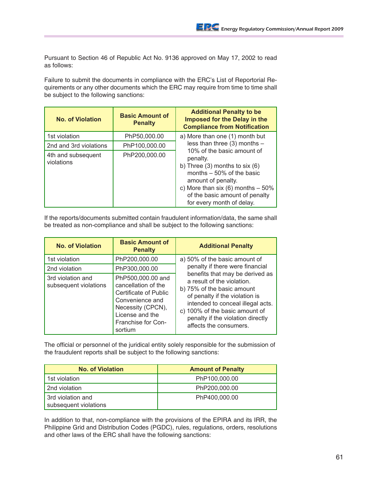Pursuant to Section 46 of Republic Act No. 9136 approved on May 17, 2002 to read as follows:

Failure to submit the documents in compliance with the ERC's List of Reportorial Requirements or any other documents which the ERC may require from time to time shall be subject to the following sanctions:

| <b>No. of Violation</b>          | <b>Basic Amount of</b><br><b>Penalty</b> | <b>Additional Penalty to be</b><br>Imposed for the Delay in the<br><b>Compliance from Notification</b>                                                                                                                                  |
|----------------------------------|------------------------------------------|-----------------------------------------------------------------------------------------------------------------------------------------------------------------------------------------------------------------------------------------|
| 1st violation                    | PhP50,000.00                             | a) More than one (1) month but                                                                                                                                                                                                          |
| 2nd and 3rd violations           | PhP100,000.00                            | less than three $(3)$ months -                                                                                                                                                                                                          |
| 4th and subsequent<br>violations | PhP200,000.00                            | 10% of the basic amount of<br>penalty.<br>b) Three $(3)$ months to six $(6)$<br>months $-50\%$ of the basic<br>amount of penalty.<br>c) More than six (6) months $-50\%$<br>of the basic amount of penalty<br>for every month of delay. |

If the reports/documents submitted contain fraudulent information/data, the same shall be treated as non-compliance and shall be subject to the following sanctions:

| <b>No. of Violation</b>                    | <b>Basic Amount of</b><br><b>Penalty</b>                                                                                                                             | <b>Additional Penalty</b>                                                                                                                                                                                                                                           |
|--------------------------------------------|----------------------------------------------------------------------------------------------------------------------------------------------------------------------|---------------------------------------------------------------------------------------------------------------------------------------------------------------------------------------------------------------------------------------------------------------------|
| 1st violation                              | PhP200,000.00                                                                                                                                                        | a) 50% of the basic amount of                                                                                                                                                                                                                                       |
| 2nd violation                              | PhP300,000.00                                                                                                                                                        | penalty if there were financial                                                                                                                                                                                                                                     |
| 3rd violation and<br>subsequent violations | PhP500,000.00 and<br>cancellation of the<br><b>Certificate of Public</b><br>Convenience and<br>Necessity (CPCN),<br>License and the<br>Franchise for Con-<br>sortium | benefits that may be derived as<br>a result of the violation.<br>b) 75% of the basic amount<br>of penalty if the violation is<br>intended to conceal illegal acts.<br>c) 100% of the basic amount of<br>penalty if the violation directly<br>affects the consumers. |

The official or personnel of the juridical entity solely responsible for the submission of the fraudulent reports shall be subject to the following sanctions:

| <b>No. of Violation</b>                    | <b>Amount of Penalty</b> |
|--------------------------------------------|--------------------------|
| 1st violation                              | PhP100,000.00            |
| 2nd violation                              | PhP200,000.00            |
| 3rd violation and<br>subsequent violations | PhP400.000.00            |

In addition to that, non-compliance with the provisions of the EPIRA and its IRR, the Philippine Grid and Distribution Codes (PGDC), rules, regulations, orders, resolutions and other laws of the ERC shall have the following sanctions: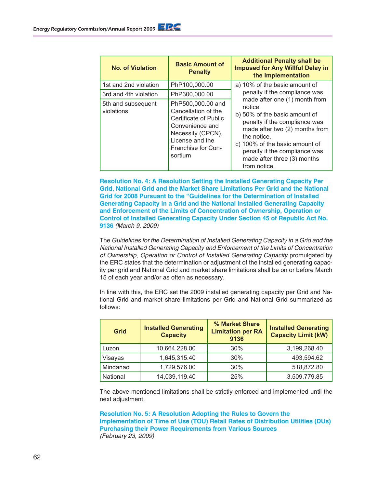| <b>No. of Violation</b>          | <b>Basic Amount of</b><br><b>Penalty</b>                                                                                                                      | <b>Additional Penalty shall be</b><br><b>Imposed for Any Willful Delay in</b><br>the Implementation                                                                                                                                                                           |
|----------------------------------|---------------------------------------------------------------------------------------------------------------------------------------------------------------|-------------------------------------------------------------------------------------------------------------------------------------------------------------------------------------------------------------------------------------------------------------------------------|
| 1st and 2nd violation            | PhP100,000.00                                                                                                                                                 | a) 10% of the basic amount of                                                                                                                                                                                                                                                 |
| 3rd and 4th violation            | PhP300,000.00                                                                                                                                                 | penalty if the compliance was                                                                                                                                                                                                                                                 |
| 5th and subsequent<br>violations | PhP500,000.00 and<br>Cancellation of the<br>Certificate of Public<br>Convenience and<br>Necessity (CPCN),<br>License and the<br>Franchise for Con-<br>sortium | made after one (1) month from<br>notice.<br>b) 50% of the basic amount of<br>penalty if the compliance was<br>made after two (2) months from<br>the notice.<br>c) 100% of the basic amount of<br>penalty if the compliance was<br>made after three (3) months<br>from notice. |

**Resolution No. 4: A Resolution Setting the Installed Generating Capacity Per Grid, National Grid and the Market Share Limitations Per Grid and the National Grid for 2008 Pursuant to the "Guidelines for the Determination of Installed Generating Capacity in a Grid and the National Installed Generating Capacity and Enforcement of the Limits of Concentration of Ownership, Operation or Control of Installed Generating Capacity Under Section 45 of Republic Act No. 9136** (March 9, 2009)

The Guidelines for the Determination of Installed Generating Capacity in a Grid and the National Installed Generating Capacity and Enforcement of the Limits of Concentration of Ownership, Operation or Control of Installed Generating Capacity promulgated by the ERC states that the determination or adjustment of the installed generating capacity per grid and National Grid and market share limitations shall be on or before March 15 of each year and/or as often as necessary.

In line with this, the ERC set the 2009 installed generating capacity per Grid and National Grid and market share limitations per Grid and National Grid summarized as follows:

| <b>Grid</b> | <b>Installed Generating</b><br><b>Capacity</b> | % Market Share<br><b>Limitation per RA</b><br>9136 | <b>Installed Generating</b><br><b>Capacity Limit (kW)</b> |
|-------------|------------------------------------------------|----------------------------------------------------|-----------------------------------------------------------|
| Luzon       | 10,664,228.00                                  | 30%                                                | 3,199,268.40                                              |
| Visayas     | 1,645,315.40                                   | 30%                                                | 493,594.62                                                |
| Mindanao    | 1,729,576.00                                   | 30%                                                | 518,872.80                                                |
| National    | 14,039,119.40                                  | 25%                                                | 3,509,779.85                                              |

The above-mentioned limitations shall be strictly enforced and implemented until the next adjustment.

**Resolution No. 5: A Resolution Adopting the Rules to Govern the Implementation of Time of Use (TOU) Retail Rates of Distribution Utilities (DUs) Purchasing their Power Requirements from Various Sources**  (February 23, 2009)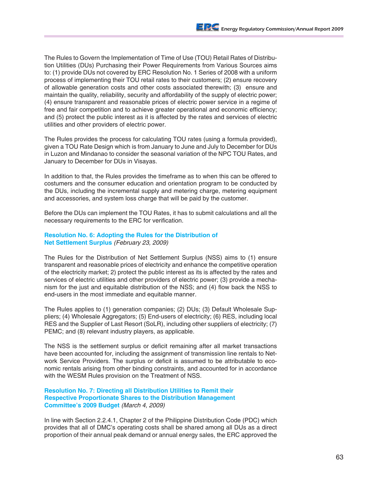The Rules to Govern the Implementation of Time of Use (TOU) Retail Rates of Distribution Utilities (DUs) Purchasing their Power Requirements from Various Sources aims to: (1) provide DUs not covered by ERC Resolution No. 1 Series of 2008 with a uniform process of implementing their TOU retail rates to their customers; (2) ensure recovery of allowable generation costs and other costs associated therewith; (3) ensure and maintain the quality, reliability, security and affordability of the supply of electric power; (4) ensure transparent and reasonable prices of electric power service in a regime of free and fair competition and to achieve greater operational and economic efficiency; and (5) protect the public interest as it is affected by the rates and services of electric utilities and other providers of electric power.

The Rules provides the process for calculating TOU rates (using a formula provided), given a TOU Rate Design which is from January to June and July to December for DUs in Luzon and Mindanao to consider the seasonal variation of the NPC TOU Rates, and January to December for DUs in Visayas.

In addition to that, the Rules provides the timeframe as to when this can be offered to costumers and the consumer education and orientation program to be conducted by the DUs, including the incremental supply and metering charge, metering equipment and accessories, and system loss charge that will be paid by the customer.

Before the DUs can implement the TOU Rates, it has to submit calculations and all the necessary requirements to the ERC for verification.

**Resolution No. 6: Adopting the Rules for the Distribution of Net Settlement Surplus** (February 23, 2009)

The Rules for the Distribution of Net Settlement Surplus (NSS) aims to (1) ensure transparent and reasonable prices of electricity and enhance the competitive operation of the electricity market; 2) protect the public interest as its is affected by the rates and services of electric utilities and other providers of electric power; (3) provide a mechanism for the just and equitable distribution of the NSS; and (4) flow back the NSS to end-users in the most immediate and equitable manner.

The Rules applies to (1) generation companies; (2) DUs; (3) Default Wholesale Suppliers; (4) Wholesale Aggregators; (5) End-users of electricity; (6) RES, including local RES and the Supplier of Last Resort (SoLR), including other suppliers of electricity; (7) PEMC; and (8) relevant industry players, as applicable.

The NSS is the settlement surplus or deficit remaining after all market transactions have been accounted for, including the assignment of transmission line rentals to Network Service Providers. The surplus or deficit is assumed to be attributable to economic rentals arising from other binding constraints, and accounted for in accordance with the WESM Rules provision on the Treatment of NSS.

#### **Resolution No. 7: Directing all Distribution Utilities to Remit their Respective Proportionate Shares to the Distribution Management Committee's 2009 Budget** (March 4, 2009)

In line with Section 2.2.4.1, Chapter 2 of the Philippine Distribution Code (PDC) which provides that all of DMC's operating costs shall be shared among all DUs as a direct proportion of their annual peak demand or annual energy sales, the ERC approved the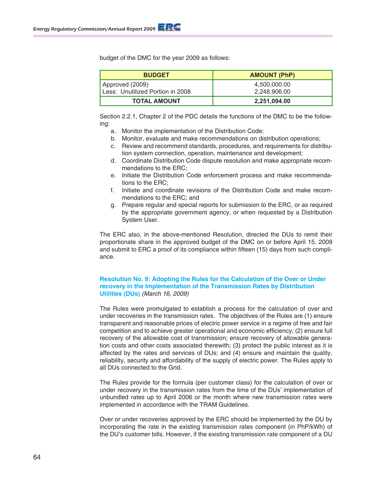budget of the DMC for the year 2009 as follows:

| <b>BUDGET</b>                    | <b>AMOUNT (PhP)</b> |
|----------------------------------|---------------------|
| Approved (2009)                  | 4,500,000.00        |
| Less: Unutilized Portion in 2008 | 2,248,906.00        |
| <b>TOTAL AMOUNT</b>              | 2,251,094.00        |

Section 2.2.1, Chapter 2 of the PDC details the functions of the DMC to be the following:

- a. Monitor the implementation of the Distribution Code;
- b. Monitor, evaluate and make recommendations on distribution operations;
- c. Review and recommend standards, procedures, and requirements for distribution system connection, operation, maintenance and development;
- d. Coordinate Distribution Code dispute resolution and make appropriate recommendations to the ERC;
- e. Initiate the Distribution Code enforcement process and make recommendations to the ERC;
- f. Initiate and coordinate revisions of the Distribution Code and make recommendations to the ERC; and
- g. Prepare regular and special reports for submission to the ERC, or as required by the appropriate government agency, or when requested by a Distribution System User.

The ERC also, in the above-mentioned Resolution, directed the DUs to remit their proportionate share in the approved budget of the DMC on or before April 15, 2009 and submit to ERC a proof of its compliance within fifteen (15) days from such compliance.

# **Resolution No. 9: Adopting the Rules for the Calculation of the Over or Under recovery in the Implementation of the Transmission Rates by Distribution Utilities (DUs)** (March 16, 2009)

The Rules were promulgated to establish a process for the calculation of over and under recoveries in the transmission rates. The objectives of the Rules are (1) ensure transparent and reasonable prices of electric power service in a regime of free and fair competition and to achieve greater operational and economic efficiency; (2) ensure full recovery of the allowable cost of transmission; ensure recovery of allowable generation costs and other costs associated therewith; (3) protect the public interest as it is affected by the rates and services of DUs; and (4) ensure and maintain the quality, reliability, security and affordability of the supply of electric power. The Rules apply to all DUs connected to the Grid.

The Rules provide for the formula (per customer class) for the calculation of over or under recovery in the transmission rates from the time of the DUs' implementation of unbundled rates up to April 2006 or the month where new transmission rates were implemented in accordance with the TRAM Guidelines.

Over or under recoveries approved by the ERC should be implemented by the DU by incorporating the rate in the existing transmission rates component (in PhP/kWh) of the DU's customer bills. However, if the existing transmission rate component of a DU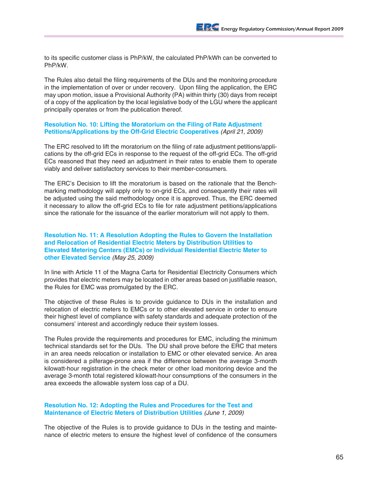to its specific customer class is PhP/kW, the calculated PhP/kWh can be converted to PhP/kW.

The Rules also detail the filing requirements of the DUs and the monitoring procedure in the implementation of over or under recovery. Upon filing the application, the ERC may upon motion, issue a Provisional Authority (PA) within thirty (30) days from receipt of a copy of the application by the local legislative body of the LGU where the applicant principally operates or from the publication thereof.

#### **Resolution No. 10: Lifting the Moratorium on the Filing of Rate Adjustment Petitions/Applications by the Off-Grid Electric Cooperatives** (April 21, 2009)

The ERC resolved to lift the moratorium on the filing of rate adjustment petitions/applications by the off-grid ECs in response to the request of the off-grid ECs. The off-grid ECs reasoned that they need an adjustment in their rates to enable them to operate viably and deliver satisfactory services to their member-consumers.

The ERC's Decision to lift the moratorium is based on the rationale that the Benchmarking methodology will apply only to on-grid ECs, and consequently their rates will be adjusted using the said methodology once it is approved. Thus, the ERC deemed it necessary to allow the off-grid ECs to file for rate adjustment petitions/applications since the rationale for the issuance of the earlier moratorium will not apply to them.

**Resolution No. 11: A Resolution Adopting the Rules to Govern the Installation and Relocation of Residential Electric Meters by Distribution Utilities to Elevated Metering Centers (EMCs) or Individual Residential Electric Meter to other Elevated Service** *(May 25, 2009)*

In line with Article 11 of the Magna Carta for Residential Electricity Consumers which provides that electric meters may be located in other areas based on justifiable reason, the Rules for EMC was promulgated by the ERC.

The objective of these Rules is to provide guidance to DUs in the installation and relocation of electric meters to EMCs or to other elevated service in order to ensure their highest level of compliance with safety standards and adequate protection of the consumers' interest and accordingly reduce their system losses.

The Rules provide the requirements and procedures for EMC, including the minimum technical standards set for the DUs. The DU shall prove before the ERC that meters in an area needs relocation or installation to EMC or other elevated service. An area is considered a pilferage-prone area if the difference between the average 3-month kilowatt-hour registration in the check meter or other load monitoring device and the average 3-month total registered kilowatt-hour consumptions of the consumers in the area exceeds the allowable system loss cap of a DU.

#### **Resolution No. 12: Adopting the Rules and Procedures for the Test and Maintenance of Electric Meters of Distribution Utilities** (June 1, 2009)

The objective of the Rules is to provide guidance to DUs in the testing and maintenance of electric meters to ensure the highest level of confidence of the consumers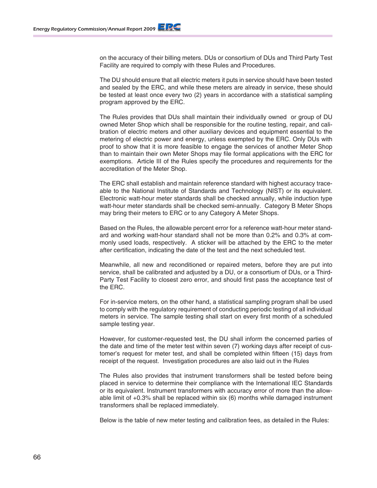on the accuracy of their billing meters. DUs or consortium of DUs and Third Party Test Facility are required to comply with these Rules and Procedures.

The DU should ensure that all electric meters it puts in service should have been tested and sealed by the ERC, and while these meters are already in service, these should be tested at least once every two (2) years in accordance with a statistical sampling program approved by the ERC.

The Rules provides that DUs shall maintain their individually owned or group of DU owned Meter Shop which shall be responsible for the routine testing, repair, and calibration of electric meters and other auxiliary devices and equipment essential to the metering of electric power and energy, unless exempted by the ERC. Only DUs with proof to show that it is more feasible to engage the services of another Meter Shop than to maintain their own Meter Shops may file formal applications with the ERC for exemptions. Article III of the Rules specify the procedures and requirements for the accreditation of the Meter Shop.

The ERC shall establish and maintain reference standard with highest accuracy traceable to the National Institute of Standards and Technology (NIST) or its equivalent. Electronic watt-hour meter standards shall be checked annually, while induction type watt-hour meter standards shall be checked semi-annually. Category B Meter Shops may bring their meters to ERC or to any Category A Meter Shops.

Based on the Rules, the allowable percent error for a reference watt-hour meter standard and working watt-hour standard shall not be more than 0.2% and 0.3% at commonly used loads, respectively. A sticker will be attached by the ERC to the meter after certification, indicating the date of the test and the next scheduled test.

Meanwhile, all new and reconditioned or repaired meters, before they are put into service, shall be calibrated and adjusted by a DU, or a consortium of DUs, or a Third-Party Test Facility to closest zero error, and should first pass the acceptance test of the ERC.

For in-service meters, on the other hand, a statistical sampling program shall be used to comply with the regulatory requirement of conducting periodic testing of all individual meters in service. The sample testing shall start on every first month of a scheduled sample testing year.

However, for customer-requested test, the DU shall inform the concerned parties of the date and time of the meter test within seven (7) working days after receipt of customer's request for meter test, and shall be completed within fifteen (15) days from receipt of the request. Investigation procedures are also laid out in the Rules

The Rules also provides that instrument transformers shall be tested before being placed in service to determine their compliance with the International IEC Standards or its equivalent. Instrument transformers with accuracy error of more than the allowable limit of +0.3% shall be replaced within six (6) months while damaged instrument transformers shall be replaced immediately.

Below is the table of new meter testing and calibration fees, as detailed in the Rules: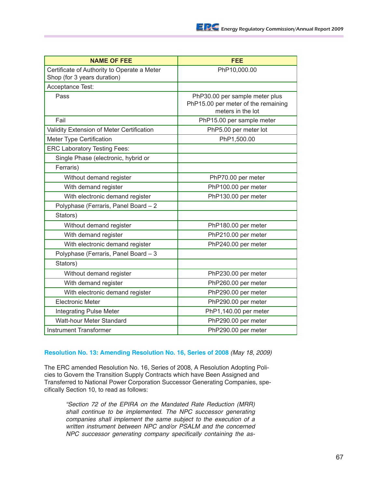| <b>NAME OF FEE</b>                                                         | <b>FEE</b>                                                                                 |
|----------------------------------------------------------------------------|--------------------------------------------------------------------------------------------|
| Certificate of Authority to Operate a Meter<br>Shop (for 3 years duration) | PhP10,000.00                                                                               |
| Acceptance Test:                                                           |                                                                                            |
| Pass                                                                       | PhP30.00 per sample meter plus<br>PhP15.00 per meter of the remaining<br>meters in the lot |
| Fail                                                                       | PhP15.00 per sample meter                                                                  |
| Validity Extension of Meter Certification                                  | PhP5.00 per meter lot                                                                      |
| Meter Type Certification                                                   | PhP1,500.00                                                                                |
| <b>ERC Laboratory Testing Fees:</b>                                        |                                                                                            |
| Single Phase (electronic, hybrid or                                        |                                                                                            |
| Ferraris)                                                                  |                                                                                            |
| Without demand register                                                    | PhP70.00 per meter                                                                         |
| With demand register                                                       | PhP100.00 per meter                                                                        |
| With electronic demand register                                            | PhP130.00 per meter                                                                        |
| Polyphase (Ferraris, Panel Board - 2                                       |                                                                                            |
| Stators)                                                                   |                                                                                            |
| Without demand register                                                    | PhP180.00 per meter                                                                        |
| With demand register                                                       | PhP210.00 per meter                                                                        |
| With electronic demand register                                            | PhP240.00 per meter                                                                        |
| Polyphase (Ferraris, Panel Board - 3                                       |                                                                                            |
| Stators)                                                                   |                                                                                            |
| Without demand register                                                    | PhP230.00 per meter                                                                        |
| With demand register                                                       | PhP260.00 per meter                                                                        |
| With electronic demand register                                            | PhP290.00 per meter                                                                        |
| <b>Electronic Meter</b>                                                    | PhP290.00 per meter                                                                        |
| <b>Integrating Pulse Meter</b>                                             | PhP1,140.00 per meter                                                                      |
| Watt-hour Meter Standard                                                   | PhP290.00 per meter                                                                        |
| <b>Instrument Transformer</b>                                              | PhP290.00 per meter                                                                        |

# **Resolution No. 13: Amending Resolution No. 16, Series of 2008** (May 18, 2009)

The ERC amended Resolution No. 16, Series of 2008, A Resolution Adopting Policies to Govern the Transition Supply Contracts which have Been Assigned and Transferred to National Power Corporation Successor Generating Companies, specifically Section 10, to read as follows:

"Section 72 of the EPIRA on the Mandated Rate Reduction (MRR) shall continue to be implemented. The NPC successor generating companies shall implement the same subject to the execution of a written instrument between NPC and/or PSALM and the concerned NPC successor generating company specifically containing the as*-*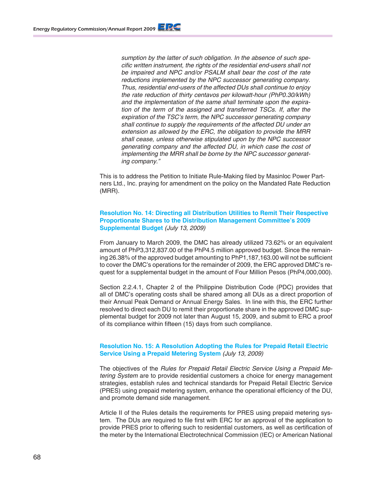sumption by the latter of such obligation. In the absence of such specific written instrument, the rights of the residential end-users shall not be impaired and NPC and/or PSALM shall bear the cost of the rate reductions implemented by the NPC successor generating company. Thus, residential end-users of the affected DUs shall continue to enjoy the rate reduction of thirty centavos per kilowatt-hour (PhP0.30/kWh) and the implementation of the same shall terminate upon the expiration of the term of the assigned and transferred TSCs. If, after the expiration of the TSC's term, the NPC successor generating company shall continue to supply the requirements of the affected DU under an extension as allowed by the ERC, the obligation to provide the MRR shall cease, unless otherwise stipulated upon by the NPC successor generating company and the affected DU, in which case the cost of implementing the MRR shall be borne by the NPC successor generating company."

This is to address the Petition to Initiate Rule-Making filed by Masinloc Power Partners Ltd., Inc. praying for amendment on the policy on the Mandated Rate Reduction (MRR).

#### **Resolution No. 14: Directing all Distribution Utilities to Remit Their Respective Proportionate Shares to the Distribution Management Committee's 2009 Supplemental Budget** (July 13, 2009)

From January to March 2009, the DMC has already utilized 73.62% or an equivalent amount of PhP3,312,837.00 of the PhP4.5 million approved budget. Since the remaining 26.38% of the approved budget amounting to PhP1,187,163.00 will not be sufficient to cover the DMC's operations for the remainder of 2009, the ERC approved DMC's request for a supplemental budget in the amount of Four Million Pesos (PhP4,000,000).

Section 2.2.4.1, Chapter 2 of the Philippine Distribution Code (PDC) provides that all of DMC's operating costs shall be shared among all DUs as a direct proportion of their Annual Peak Demand or Annual Energy Sales. In line with this, the ERC further resolved to direct each DU to remit their proportionate share in the approved DMC supplemental budget for 2009 not later than August 15, 2009, and submit to ERC a proof of its compliance within fifteen (15) days from such compliance.

#### **Resolution No. 15: A Resolution Adopting the Rules for Prepaid Retail Electric Service Using a Prepaid Metering System** (July 13, 2009)

The objectives of the Rules for Prepaid Retail Electric Service Using a Prepaid Metering System are to provide residential customers a choice for energy management strategies, establish rules and technical standards for Prepaid Retail Electric Service (PRES) using prepaid metering system, enhance the operational efficiency of the DU, and promote demand side management.

Article II of the Rules details the requirements for PRES using prepaid metering system. The DUs are required to file first with ERC for an approval of the application to provide PRES prior to offering such to residential customers, as well as certification of the meter by the International Electrotechnical Commission (IEC) or American National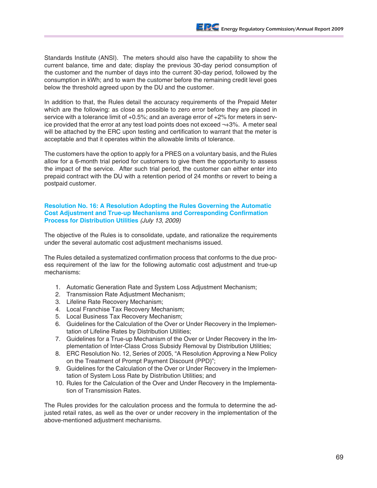Standards Institute (ANSI). The meters should also have the capability to show the current balance, time and date; display the previous 30-day period consumption of the customer and the number of days into the current 30-day period, followed by the consumption in kWh; and to warn the customer before the remaining credit level goes below the threshold agreed upon by the DU and the customer.

In addition to that, the Rules detail the accuracy requirements of the Prepaid Meter which are the following: as close as possible to zero error before they are placed in service with a tolerance limit of +0.5%; and an average error of +2% for meters in service provided that the error at any test load points does not exceed ¬+3%. A meter seal will be attached by the ERC upon testing and certification to warrant that the meter is acceptable and that it operates within the allowable limits of tolerance.

The customers have the option to apply for a PRES on a voluntary basis, and the Rules allow for a 6-month trial period for customers to give them the opportunity to assess the impact of the service. After such trial period, the customer can either enter into prepaid contract with the DU with a retention period of 24 months or revert to being a postpaid customer.

#### **Resolution No. 16: A Resolution Adopting the Rules Governing the Automatic Cost Adjustment and True-up Mechanisms and Corresponding Confirmation Process for Distribution Utilities** (July 13, 2009)

The objective of the Rules is to consolidate, update, and rationalize the requirements under the several automatic cost adjustment mechanisms issued.

The Rules detailed a systematized confirmation process that conforms to the due process requirement of the law for the following automatic cost adjustment and true-up mechanisms:

- 1. Automatic Generation Rate and System Loss Adjustment Mechanism;
- 2. Transmission Rate Adjustment Mechanism;
- 3. Lifeline Rate Recovery Mechanism;
- 4. Local Franchise Tax Recovery Mechanism;
- 5. Local Business Tax Recovery Mechanism;
- 6. Guidelines for the Calculation of the Over or Under Recovery in the Implementation of Lifeline Rates by Distribution Utilities;
- 7. Guidelines for a True-up Mechanism of the Over or Under Recovery in the Implementation of Inter-Class Cross Subsidy Removal by Distribution Utilities;
- 8. ERC Resolution No. 12, Series of 2005, "A Resolution Approving a New Policy on the Treatment of Prompt Payment Discount (PPD)";
- 9. Guidelines for the Calculation of the Over or Under Recovery in the Implementation of System Loss Rate by Distribution Utilities; and
- 10. Rules for the Calculation of the Over and Under Recovery in the Implementation of Transmission Rates.

The Rules provides for the calculation process and the formula to determine the adjusted retail rates, as well as the over or under recovery in the implementation of the above-mentioned adjustment mechanisms.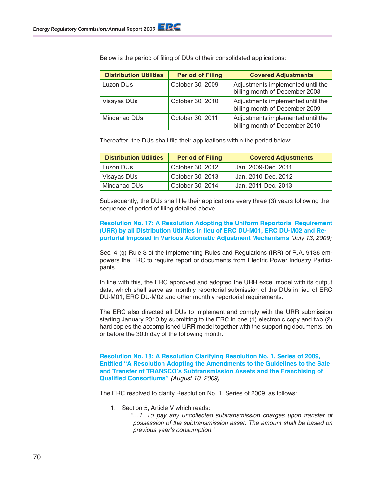| <b>Distribution Utilities</b> | <b>Period of Filing</b> | <b>Covered Adjustments</b>                                          |
|-------------------------------|-------------------------|---------------------------------------------------------------------|
| Luzon DUs                     | October 30, 2009        | Adjustments implemented until the<br>billing month of December 2008 |
| Visayas DUs                   | October 30, 2010        | Adjustments implemented until the<br>billing month of December 2009 |
| Mindanao DUs                  | October 30, 2011        | Adjustments implemented until the<br>billing month of December 2010 |

Below is the period of filing of DUs of their consolidated applications:

Thereafter, the DUs shall file their applications within the period below:

| <b>Distribution Utilities</b> | <b>Period of Filing</b> | <b>Covered Adjustments</b> |
|-------------------------------|-------------------------|----------------------------|
| Luzon DUs                     | October 30, 2012        | Jan. 2009-Dec. 2011        |
| Visayas DUs                   | October 30, 2013        | Jan. 2010-Dec. 2012        |
| Mindanao DUs                  | October 30, 2014        | Jan. 2011-Dec. 2013        |

Subsequently, the DUs shall file their applications every three (3) years following the sequence of period of filing detailed above.

**Resolution No. 17: A Resolution Adopting the Uniform Reportorial Requirement (URR) by all Distribution Utilities in lieu of ERC DU-M01, ERC DU-M02 and Reportorial Imposed in Various Automatic Adjustment Mechanisms** (July 13, 2009)

Sec. 4 (q) Rule 3 of the Implementing Rules and Regulations (IRR) of R.A. 9136 empowers the ERC to require report or documents from Electric Power Industry Participants.

In line with this, the ERC approved and adopted the URR excel model with its output data, which shall serve as monthly reportorial submission of the DUs in lieu of ERC DU-M01, ERC DU-M02 and other monthly reportorial requirements.

The ERC also directed all DUs to implement and comply with the URR submission starting January 2010 by submitting to the ERC in one (1) electronic copy and two (2) hard copies the accomplished URR model together with the supporting documents, on or before the 30th day of the following month.

**Resolution No. 18: A Resolution Clarifying Resolution No. 1, Series of 2009, Entitled "A Resolution Adopting the Amendments to the Guidelines to the Sale and Transfer of TRANSCO's Subtransmission Assets and the Franchising of Qualified Consortiums"** (August 10, 2009)

The ERC resolved to clarify Resolution No. 1, Series of 2009, as follows:

- 1. Section 5, Article V which reads:
	- "…1. To pay any uncollected subtransmission charges upon transfer of possession of the subtransmission asset. The amount shall be based on previous year's consumption."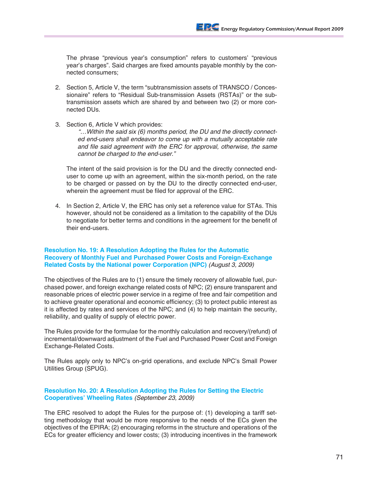The phrase "previous year's consumption" refers to customers' "previous year's charges". Said charges are fixed amounts payable monthly by the connected consumers;

- 2. Section 5, Article V, the term "subtransmission assets of TRANSCO / Concessionaire" refers to "Residual Sub-transmission Assets (RSTAs)" or the subtransmission assets which are shared by and between two (2) or more connected DUs.
- 3. Section 6, Article V which provides:

"…Within the said six (6) months period, the DU and the directly connected end-users shall endeavor to come up with a mutually acceptable rate and file said agreement with the ERC for approval, otherwise, the same cannot be charged to the end-user."

The intent of the said provision is for the DU and the directly connected enduser to come up with an agreement, within the six-month period, on the rate to be charged or passed on by the DU to the directly connected end-user, wherein the agreement must be filed for approval of the ERC.

4. In Section 2, Article V, the ERC has only set a reference value for STAs. This however, should not be considered as a limitation to the capability of the DUs to negotiate for better terms and conditions in the agreement for the benefit of their end-users.

#### **Resolution No. 19: A Resolution Adopting the Rules for the Automatic Recovery of Monthly Fuel and Purchased Power Costs and Foreign-Exchange Related Costs by the National power Corporation (NPC)** (August 3, 2009)

The objectives of the Rules are to (1) ensure the timely recovery of allowable fuel, purchased power, and foreign exchange related costs of NPC; (2) ensure transparent and reasonable prices of electric power service in a regime of free and fair competition and to achieve greater operational and economic efficiency; (3) to protect public interest as it is affected by rates and services of the NPC; and (4) to help maintain the security, reliability, and quality of supply of electric power.

The Rules provide for the formulae for the monthly calculation and recovery/(refund) of incremental/downward adjustment of the Fuel and Purchased Power Cost and Foreign Exchange-Related Costs.

The Rules apply only to NPC's on-grid operations, and exclude NPC's Small Power Utilities Group (SPUG).

# **Resolution No. 20: A Resolution Adopting the Rules for Setting the Electric Cooperatives' Wheeling Rates** (September 23, 2009)

The ERC resolved to adopt the Rules for the purpose of: (1) developing a tariff setting methodology that would be more responsive to the needs of the ECs given the objectives of the EPIRA; (2) encouraging reforms in the structure and operations of the ECs for greater efficiency and lower costs; (3) introducing incentives in the framework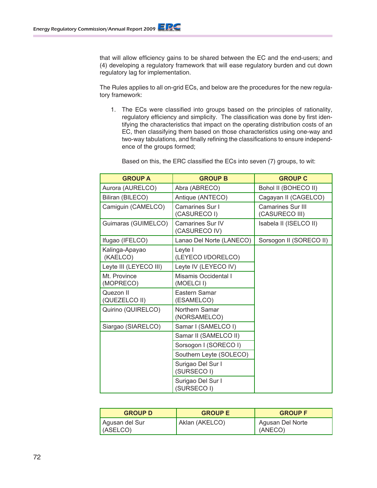that will allow efficiency gains to be shared between the EC and the end-users; and (4) developing a regulatory framework that will ease regulatory burden and cut down regulatory lag for implementation.

The Rules applies to all on-grid ECs, and below are the procedures for the new regulatory framework:

1. The ECs were classified into groups based on the principles of rationality, regulatory efficiency and simplicity. The classification was done by first identifying the characteristics that impact on the operating distribution costs of an EC, then classifying them based on those characteristics using one-way and two-way tabulations, and finally refining the classifications to ensure independence of the groups formed;

|  | Based on this, the ERC classified the ECs into seven (7) groups, to wit: |  |  |
|--|--------------------------------------------------------------------------|--|--|
|--|--------------------------------------------------------------------------|--|--|

| <b>GROUP A</b>             | <b>GROUP B</b>                           | <b>GROUP C</b>                             |
|----------------------------|------------------------------------------|--------------------------------------------|
| Aurora (AURELCO)           | Abra (ABRECO)                            | Bohol II (BOHECO II)                       |
| Biliran (BILECO)           | Antique (ANTECO)                         | Cagayan II (CAGELCO)                       |
| Camiguin (CAMELCO)         | Camarines Sur I<br>(CASURECO I)          | <b>Camarines Sur III</b><br>(CASURECO III) |
| Guimaras (GUIMELCO)        | <b>Camarines Sur IV</b><br>(CASURECO IV) | Isabela II (ISELCO II)                     |
| Ifugao (IFELCO)            | Lanao Del Norte (LANECO)                 | Sorsogon II (SORECO II)                    |
| Kalinga-Apayao<br>(KAELCO) | Leyte I<br>(LEYECO I/DORELCO)            |                                            |
| Leyte III (LEYECO III)     | Leyte IV (LEYECO IV)                     |                                            |
| Mt. Province<br>(MOPRECO)  | Misamis Occidental I<br>(MOELCII)        |                                            |
| Quezon II<br>(QUEZELCO II) | Eastern Samar<br>(ESAMELCO)              |                                            |
| Quirino (QUIRELCO)         | Northern Samar<br>(NORSAMELCO)           |                                            |
| Siargao (SIARELCO)         | Samar I (SAMELCO I)                      |                                            |
|                            | Samar II (SAMELCO II)                    |                                            |
|                            | Sorsogon I (SORECO I)                    |                                            |
|                            | Southern Leyte (SOLECO)                  |                                            |
|                            | Surigao Del Sur I<br>(SURSECO I)         |                                            |
|                            | Surigao Del Sur I<br>(SURSECO I)         |                                            |

| <b>GROUP D</b>             | <b>GROUP E</b> | <b>GROUP F</b>              |
|----------------------------|----------------|-----------------------------|
| Agusan del Sur<br>(ASELCO) | Aklan (AKELCO) | Agusan Del Norte<br>(ANECO) |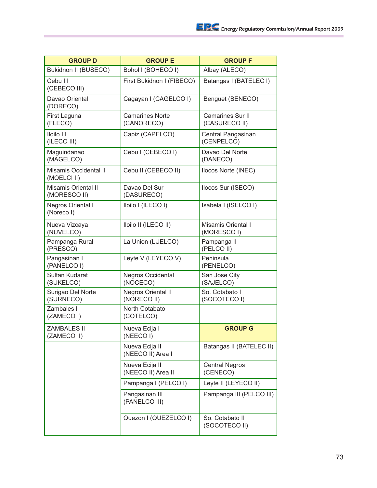| <b>GROUP D</b>                             | <b>GROUP E</b>                           | <b>GROUP F</b>                           |
|--------------------------------------------|------------------------------------------|------------------------------------------|
| Bukidnon II (BUSECO)                       | Bohol I (BOHECO I)                       | Albay (ALECO)                            |
| Cebu III<br>(CEBECO III)                   | First Bukidnon I (FIBECO)                | Batangas I (BATELEC I)                   |
| Davao Oriental<br>(DORECO)                 | Cagayan I (CAGELCO I)                    | Benguet (BENECO)                         |
| First Laguna<br>(FLECO)                    | <b>Camarines Norte</b><br>(CANORECO)     | <b>Camarines Sur II</b><br>(CASURECO II) |
| Iloilo III<br>(ILECO III)                  | Capiz (CAPELCO)                          | Central Pangasinan<br>(CENPELCO)         |
| Maguindanao<br>(MAGELCO)                   | Cebu I (CEBECO I)                        | Davao Del Norte<br>(DANECO)              |
| Misamis Occidental II<br>(MOELCI II)       | Cebu II (CEBECO II)                      | Ilocos Norte (INEC)                      |
| <b>Misamis Oriental II</b><br>(MORESCO II) | Davao Del Sur<br>(DASURECO)              | Ilocos Sur (ISECO)                       |
| Negros Oriental I<br>(Noreco I)            | Iloilo I (ILECO I)                       | Isabela I (ISELCO I)                     |
| Nueva Vizcaya<br>(NUVELCO)                 | Iloilo II (ILECO II)                     | <b>Misamis Oriental I</b><br>(MORESCO I) |
| Pampanga Rural<br>(PRESCO)                 | La Union (LUELCO)                        | Pampanga II<br>(PELCO II)                |
| Pangasinan I<br>(PANELCO I)                | Leyte V (LEYECO V)                       | Peninsula<br>(PENELCO)                   |
| Sultan Kudarat<br>(SUKELCO)                | <b>Negros Occidental</b><br>(NOCECO)     | San Jose City<br>(SAJELCO)               |
| Surigao Del Norte<br>(SURNECO)             | <b>Negros Oriental II</b><br>(NORECO II) | So. Cotabato I<br>(SOCOTECO I)           |
| Zambales I<br>(ZAMECO I)                   | North Cotabato<br>(COTELCO)              |                                          |
| <b>ZAMBALES II</b><br>(ZAMECO II)          | Nueva Ecija I<br>(NEECOI)                | <b>GROUP G</b>                           |
|                                            | Nueva Ecija II<br>(NEECO II) Area I      | Batangas II (BATELEC II)                 |
|                                            | Nueva Ecija II<br>(NEECO II) Area II     | <b>Central Negros</b><br>(CENECO)        |
|                                            | Pampanga I (PELCO I)                     | Leyte II (LEYECO II)                     |
|                                            | Pangasinan III<br>(PANELCO III)          | Pampanga III (PELCO III)                 |
|                                            | Quezon I (QUEZELCO I)                    | So. Cotabato II<br>(SOCOTECO II)         |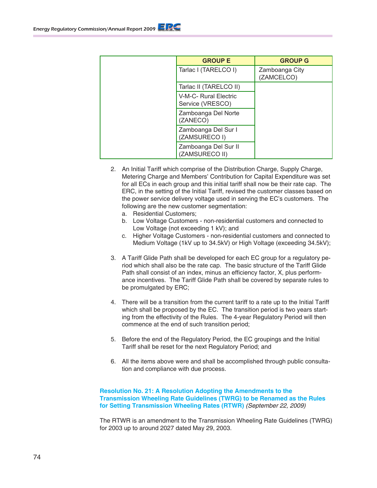|  | <b>GROUP E</b>                            | <b>GROUP G</b>               |
|--|-------------------------------------------|------------------------------|
|  | Tarlac I (TARELCO I)                      | Zamboanga City<br>(ZAMCELCO) |
|  | Tarlac II (TARELCO II)                    |                              |
|  | V-M-C- Rural Electric<br>Service (VRESCO) |                              |
|  | Zamboanga Del Norte<br>(ZANECO)           |                              |
|  | Zamboanga Del Sur I<br>(ZAMSURECO I)      |                              |
|  | Zamboanga Del Sur II<br>(ZAMSURECO II)    |                              |

- 2. An Initial Tariff which comprise of the Distribution Charge, Supply Charge, Metering Charge and Members' Contribution for Capital Expenditure was set for all ECs in each group and this initial tariff shall now be their rate cap. The ERC, in the setting of the Initial Tariff, revised the customer classes based on the power service delivery voltage used in serving the EC's customers. The following are the new customer segmentation:
	- a. Residential Customers;
	- b. Low Voltage Customers non-residential customers and connected to Low Voltage (not exceeding 1 kV); and
	- c. Higher Voltage Customers non-residential customers and connected to Medium Voltage (1kV up to 34.5kV) or High Voltage (exceeding 34.5kV);
- 3. A Tariff Glide Path shall be developed for each EC group for a regulatory period which shall also be the rate cap. The basic structure of the Tariff Glide Path shall consist of an index, minus an efficiency factor, X, plus performance incentives. The Tariff Glide Path shall be covered by separate rules to be promulgated by ERC;
- 4. There will be a transition from the current tariff to a rate up to the Initial Tariff which shall be proposed by the EC. The transition period is two years starting from the effectivity of the Rules. The 4-year Regulatory Period will then commence at the end of such transition period;
- 5. Before the end of the Regulatory Period, the EC groupings and the Initial Tariff shall be reset for the next Regulatory Period; and
- 6. All the items above were and shall be accomplished through public consultation and compliance with due process.

#### **Resolution No. 21: A Resolution Adopting the Amendments to the Transmission Wheeling Rate Guidelines (TWRG) to be Renamed as the Rules for Setting Transmission Wheeling Rates (RTWR)** (September 22, 2009)

The RTWR is an amendment to the Transmission Wheeling Rate Guidelines (TWRG) for 2003 up to around 2027 dated May 29, 2003.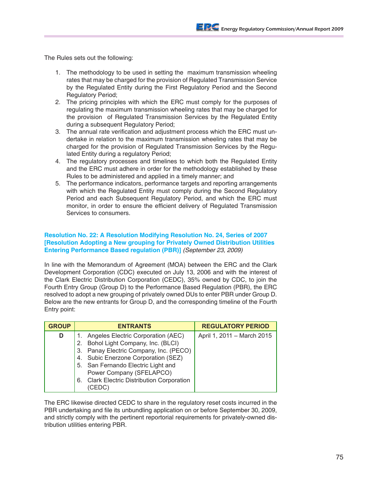The Rules sets out the following:

- 1. The methodology to be used in setting the maximum transmission wheeling rates that may be charged for the provision of Regulated Transmission Service by the Regulated Entity during the First Regulatory Period and the Second Regulatory Period;
- 2. The pricing principles with which the ERC must comply for the purposes of regulating the maximum transmission wheeling rates that may be charged for the provision of Regulated Transmission Services by the Regulated Entity during a subsequent Regulatory Period;
- 3. The annual rate verification and adjustment process which the ERC must undertake in relation to the maximum transmission wheeling rates that may be charged for the provision of Regulated Transmission Services by the Regulated Entity during a regulatory Period;
- 4. The regulatory processes and timelines to which both the Regulated Entity and the ERC must adhere in order for the methodology established by these Rules to be administered and applied in a timely manner; and
- 5. The performance indicators, performance targets and reporting arrangements with which the Regulated Entity must comply during the Second Regulatory Period and each Subsequent Regulatory Period, and which the ERC must monitor, in order to ensure the efficient delivery of Regulated Transmission Services to consumers.

## **Resolution No. 22: A Resolution Modifying Resolution No. 24, Series of 2007 [Resolution Adopting a New grouping for Privately Owned Distribution Utilities Entering Performance Based regulation (PBR)]** (September 23, 2009)

In line with the Memorandum of Agreement (MOA) between the ERC and the Clark Development Corporation (CDC) executed on July 13, 2006 and with the interest of the Clark Electric Distribution Corporation (CEDC), 35% owned by CDC, to join the Fourth Entry Group (Group D) to the Performance Based Regulation (PBR), the ERC resolved to adopt a new grouping of privately owned DUs to enter PBR under Group D. Below are the new entrants for Group D, and the corresponding timeline of the Fourth Entry point:

| <b>GROUP</b> | <b>ENTRANTS</b>                            | <b>REGULATORY PERIOD</b>   |
|--------------|--------------------------------------------|----------------------------|
|              | Angeles Electric Corporation (AEC)         | April 1, 2011 - March 2015 |
|              | 2. Bohol Light Company, Inc. (BLCI)        |                            |
|              | 3. Panay Electric Company, Inc. (PECO)     |                            |
|              | 4. Subic Enerzone Corporation (SEZ)        |                            |
|              | 5. San Fernando Electric Light and         |                            |
|              | Power Company (SFELAPCO)                   |                            |
|              | 6. Clark Electric Distribution Corporation |                            |
|              |                                            |                            |

The ERC likewise directed CEDC to share in the regulatory reset costs incurred in the PBR undertaking and file its unbundling application on or before September 30, 2009, and strictly comply with the pertinent reportorial requirements for privately-owned distribution utilities entering PBR.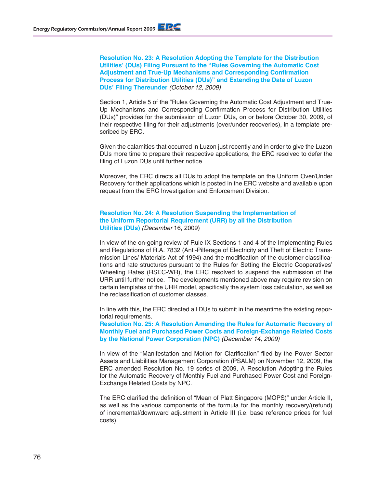**Resolution No. 23: A Resolution Adopting the Template for the Distribution Utilities' (DUs) Filing Pursuant to the "Rules Governing the Automatic Cost Adjustment and True-Up Mechanisms and Corresponding Confirmation Process for Distribution Utilities (DUs)" and Extending the Date of Luzon DUs' Filing Thereunder** (October 12, 2009)

Section 1, Article 5 of the "Rules Governing the Automatic Cost Adjustment and True-Up Mechanisms and Corresponding Confirmation Process for Distribution Utilities (DUs)" provides for the submission of Luzon DUs, on or before October 30, 2009, of their respective filing for their adjustments (over/under recoveries), in a template prescribed by ERC.

Given the calamities that occurred in Luzon just recently and in order to give the Luzon DUs more time to prepare their respective applications, the ERC resolved to defer the filing of Luzon DUs until further notice.

Moreover, the ERC directs all DUs to adopt the template on the Uniform Over/Under Recovery for their applications which is posted in the ERC website and available upon request from the ERC Investigation and Enforcement Division.

#### **Resolution No. 24: A Resolution Suspending the Implementation of the Uniform Reportorial Requirement (URR) by all the Distribution Utilities (DUs)** (December 16, 2009)

In view of the on-going review of Rule IX Sections 1 and 4 of the Implementing Rules and Regulations of R.A. 7832 (Anti-Pilferage of Electricity and Theft of Electric Transmission Lines/ Materials Act of 1994) and the modification of the customer classifications and rate structures pursuant to the Rules for Setting the Electric Cooperatives' Wheeling Rates (RSEC-WR), the ERC resolved to suspend the submission of the URR until further notice. The developments mentioned above may require revision on certain templates of the URR model, specifically the system loss calculation, as well as the reclassification of customer classes.

In line with this, the ERC directed all DUs to submit in the meantime the existing reportorial requirements.

**Resolution No. 25: A Resolution Amending the Rules for Automatic Recovery of Monthly Fuel and Purchased Power Costs and Foreign-Exchange Related Costs by the National Power Corporation (NPC)** (December 14, 2009)

In view of the "Manifestation and Motion for Clarification" filed by the Power Sector Assets and Liabilities Management Corporation (PSALM) on November 12, 2009, the ERC amended Resolution No. 19 series of 2009, A Resolution Adopting the Rules for the Automatic Recovery of Monthly Fuel and Purchased Power Cost and Foreign-Exchange Related Costs by NPC.

The ERC clarified the definition of "Mean of Platt Singapore (MOPS)" under Article II, as well as the various components of the formula for the monthly recovery/(refund) of incremental/downward adjustment in Article III (i.e. base reference prices for fuel costs).